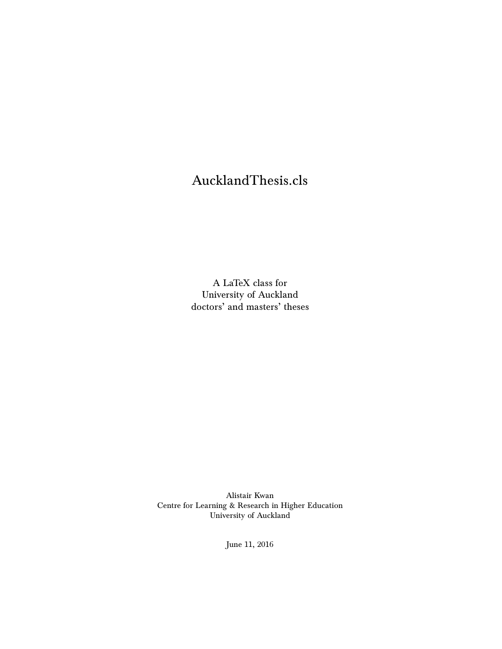# AucklandThesis.cls

A LaTeX class for University of Auckland doctors' and masters' theses

Alistair Kwan Centre for Learning & Research in Higher Education University of Auckland

June 11, 2016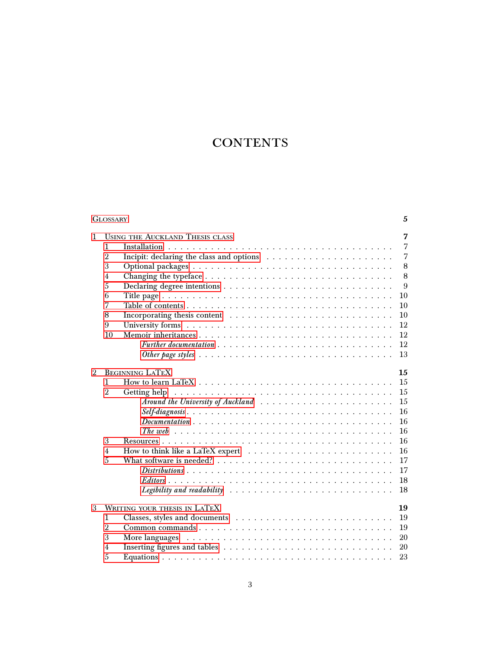# **CONTENTS**

|   | <b>GLOSSARY</b> | 5                                                                                                               |
|---|-----------------|-----------------------------------------------------------------------------------------------------------------|
| 1 |                 | 7<br><b>USING THE AUCKLAND THESIS CLASS</b>                                                                     |
|   | 1               | 7                                                                                                               |
|   | $\overline{2}$  | $\overline{7}$                                                                                                  |
|   | 3               | 8                                                                                                               |
|   | $\overline{4}$  | 8                                                                                                               |
|   | 5               | 9                                                                                                               |
|   | 6               | 10                                                                                                              |
|   | 7               | 10                                                                                                              |
|   | 8               | 10                                                                                                              |
|   | 9               | 12                                                                                                              |
|   | 10              | 12                                                                                                              |
|   |                 | 12                                                                                                              |
|   |                 | 13                                                                                                              |
| 2 |                 | <b>BEGINNING LATEX</b><br>15                                                                                    |
|   | $\mathbf{1}$    | 15<br>How to learn LaTeX $\dots \dots \dots \dots \dots \dots \dots \dots \dots \dots \dots \dots \dots$        |
|   | $\overline{2}$  | 15<br>Getting help                                                                                              |
|   |                 | 15                                                                                                              |
|   |                 | 16                                                                                                              |
|   |                 | 16<br>$Documentation \dots \dots \dots \dots \dots \dots \dots \dots \dots \dots \dots \dots \dots \dots \dots$ |
|   |                 | 16                                                                                                              |
|   | 3               | 16                                                                                                              |
|   | $\overline{4}$  | 16                                                                                                              |
|   | 5               | 17                                                                                                              |
|   |                 | 17                                                                                                              |
|   |                 | 18                                                                                                              |
|   |                 | 18                                                                                                              |
| 3 |                 | WRITING YOUR THESIS IN LATEX<br>19                                                                              |
|   | $\mathbf{1}$    | 19                                                                                                              |
|   | $\overline{2}$  | 19                                                                                                              |
|   | 3               | 20<br>More languages                                                                                            |
|   | 4               | 20                                                                                                              |
|   | 5               | 23                                                                                                              |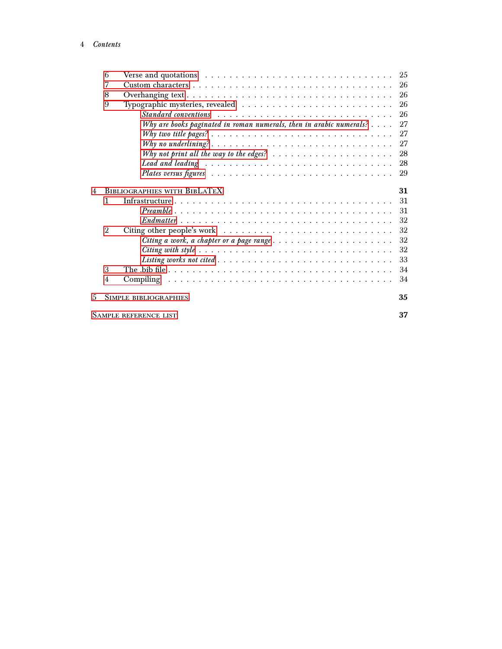| 7<br>26<br>26<br>8<br>9<br>26<br>26<br>Why are books paginated in roman numerals, then in arabic numerals? $\dots$ .<br>27<br>27<br>27<br>28<br>Why not print all the way to the edges? $\ldots \ldots \ldots \ldots \ldots \ldots \ldots$<br>28<br>Lead and leading $\ldots \ldots \ldots \ldots \ldots \ldots \ldots \ldots \ldots \ldots \ldots$<br>29<br><b>BIBLIOGRAPHIES WITH BIBLATEX</b><br>31<br>$\overline{4}$<br>$\mathbf{1}$<br>31<br>31<br>32<br>$\overline{2}$<br>32<br>Citing other people's work $\dots \dots \dots \dots \dots \dots \dots \dots \dots \dots \dots$<br>32<br>32<br>33<br>3<br>34<br>34<br>$\overline{4}$<br>35<br>.5<br>SIMPLE BIBLIOGRAPHIES<br>37<br><b>SAMPLE REFERENCE LIST</b> | 6 | Verse and quotations $\ldots \ldots \ldots \ldots \ldots \ldots \ldots \ldots \ldots \ldots$ | 25 |
|----------------------------------------------------------------------------------------------------------------------------------------------------------------------------------------------------------------------------------------------------------------------------------------------------------------------------------------------------------------------------------------------------------------------------------------------------------------------------------------------------------------------------------------------------------------------------------------------------------------------------------------------------------------------------------------------------------------------|---|----------------------------------------------------------------------------------------------|----|
|                                                                                                                                                                                                                                                                                                                                                                                                                                                                                                                                                                                                                                                                                                                      |   |                                                                                              |    |
|                                                                                                                                                                                                                                                                                                                                                                                                                                                                                                                                                                                                                                                                                                                      |   |                                                                                              |    |
|                                                                                                                                                                                                                                                                                                                                                                                                                                                                                                                                                                                                                                                                                                                      |   |                                                                                              |    |
|                                                                                                                                                                                                                                                                                                                                                                                                                                                                                                                                                                                                                                                                                                                      |   |                                                                                              |    |
|                                                                                                                                                                                                                                                                                                                                                                                                                                                                                                                                                                                                                                                                                                                      |   |                                                                                              |    |
|                                                                                                                                                                                                                                                                                                                                                                                                                                                                                                                                                                                                                                                                                                                      |   |                                                                                              |    |
|                                                                                                                                                                                                                                                                                                                                                                                                                                                                                                                                                                                                                                                                                                                      |   |                                                                                              |    |
|                                                                                                                                                                                                                                                                                                                                                                                                                                                                                                                                                                                                                                                                                                                      |   |                                                                                              |    |
|                                                                                                                                                                                                                                                                                                                                                                                                                                                                                                                                                                                                                                                                                                                      |   |                                                                                              |    |
|                                                                                                                                                                                                                                                                                                                                                                                                                                                                                                                                                                                                                                                                                                                      |   |                                                                                              |    |
|                                                                                                                                                                                                                                                                                                                                                                                                                                                                                                                                                                                                                                                                                                                      |   |                                                                                              |    |
|                                                                                                                                                                                                                                                                                                                                                                                                                                                                                                                                                                                                                                                                                                                      |   |                                                                                              |    |
|                                                                                                                                                                                                                                                                                                                                                                                                                                                                                                                                                                                                                                                                                                                      |   |                                                                                              |    |
|                                                                                                                                                                                                                                                                                                                                                                                                                                                                                                                                                                                                                                                                                                                      |   |                                                                                              |    |
|                                                                                                                                                                                                                                                                                                                                                                                                                                                                                                                                                                                                                                                                                                                      |   |                                                                                              |    |
|                                                                                                                                                                                                                                                                                                                                                                                                                                                                                                                                                                                                                                                                                                                      |   |                                                                                              |    |
|                                                                                                                                                                                                                                                                                                                                                                                                                                                                                                                                                                                                                                                                                                                      |   |                                                                                              |    |
|                                                                                                                                                                                                                                                                                                                                                                                                                                                                                                                                                                                                                                                                                                                      |   |                                                                                              |    |
|                                                                                                                                                                                                                                                                                                                                                                                                                                                                                                                                                                                                                                                                                                                      |   |                                                                                              |    |
|                                                                                                                                                                                                                                                                                                                                                                                                                                                                                                                                                                                                                                                                                                                      |   |                                                                                              |    |
|                                                                                                                                                                                                                                                                                                                                                                                                                                                                                                                                                                                                                                                                                                                      |   |                                                                                              |    |
|                                                                                                                                                                                                                                                                                                                                                                                                                                                                                                                                                                                                                                                                                                                      |   |                                                                                              |    |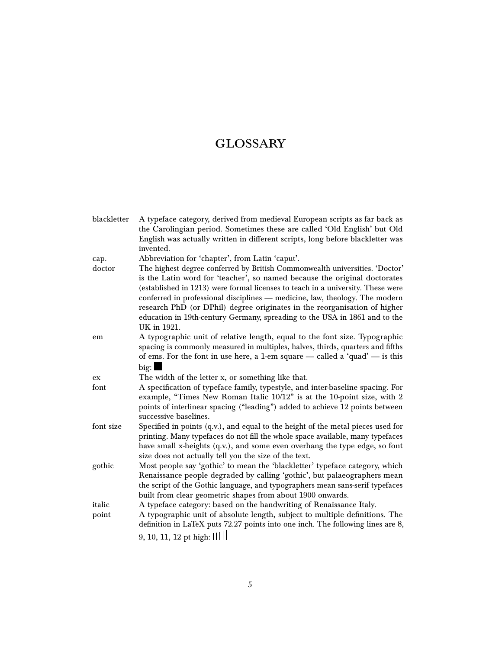# <span id="page-4-0"></span>**GLOSSARY**

| blackletter | A typeface category, derived from medieval European scripts as far back as                                                                                                                                                                                                                                                                                                                                                                                                            |
|-------------|---------------------------------------------------------------------------------------------------------------------------------------------------------------------------------------------------------------------------------------------------------------------------------------------------------------------------------------------------------------------------------------------------------------------------------------------------------------------------------------|
|             | the Carolingian period. Sometimes these are called 'Old English' but Old                                                                                                                                                                                                                                                                                                                                                                                                              |
|             | English was actually written in different scripts, long before blackletter was                                                                                                                                                                                                                                                                                                                                                                                                        |
|             | invented.                                                                                                                                                                                                                                                                                                                                                                                                                                                                             |
| cap.        | Abbreviation for 'chapter', from Latin 'caput'.                                                                                                                                                                                                                                                                                                                                                                                                                                       |
| doctor      | The highest degree conferred by British Commonwealth universities. 'Doctor'<br>is the Latin word for 'teacher', so named because the original doctorates<br>(established in 1213) were formal licenses to teach in a university. These were<br>conferred in professional disciplines — medicine, law, theology. The modern<br>research PhD (or DPhil) degree originates in the reorganisation of higher<br>education in 19th-century Germany, spreading to the USA in 1861 and to the |
|             | UK in 1921.                                                                                                                                                                                                                                                                                                                                                                                                                                                                           |
| em          | A typographic unit of relative length, equal to the font size. Typographic<br>spacing is commonly measured in multiples, halves, thirds, quarters and fifths<br>of ems. For the font in use here, a 1-em square - called a 'quad' - is this                                                                                                                                                                                                                                           |
|             | big:                                                                                                                                                                                                                                                                                                                                                                                                                                                                                  |
| ex          | The width of the letter x, or something like that.                                                                                                                                                                                                                                                                                                                                                                                                                                    |
| font        | A specification of typeface family, typestyle, and inter-baseline spacing. For<br>example, "Times New Roman Italic 10/12" is at the 10-point size, with 2<br>points of interlinear spacing ("leading") added to achieve 12 points between<br>successive baselines.                                                                                                                                                                                                                    |
| font size   | Specified in points (q.v.), and equal to the height of the metal pieces used for<br>printing. Many typefaces do not fill the whole space available, many typefaces<br>have small x-heights (q.v.), and some even overhang the type edge, so font<br>size does not actually tell you the size of the text.                                                                                                                                                                             |
| gothic      | Most people say 'gothic' to mean the 'blackletter' typeface category, which<br>Renaissance people degraded by calling 'gothic', but palaeographers mean<br>the script of the Gothic language, and typographers mean sans-serif typefaces<br>built from clear geometric shapes from about 1900 onwards.                                                                                                                                                                                |
| italic      | A typeface category: based on the handwriting of Renaissance Italy.                                                                                                                                                                                                                                                                                                                                                                                                                   |
| point       | A typographic unit of absolute length, subject to multiple definitions. The<br>definition in LaTeX puts 72.27 points into one inch. The following lines are 8,<br>9, 10, 11, 12 pt high: IIIII                                                                                                                                                                                                                                                                                        |
|             |                                                                                                                                                                                                                                                                                                                                                                                                                                                                                       |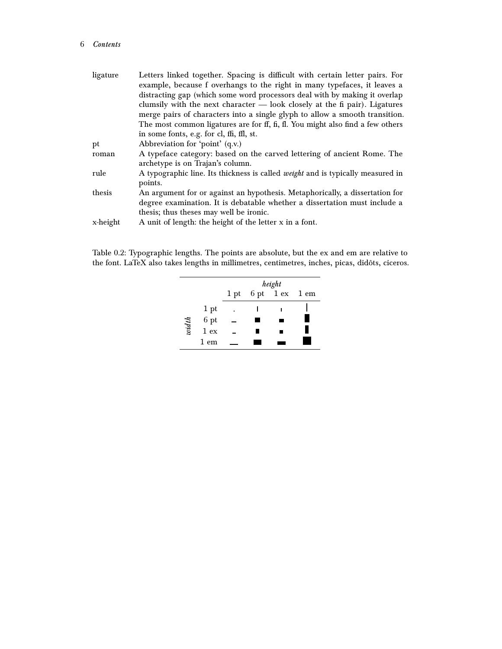#### 6 Contents

| Letters linked together. Spacing is difficult with certain letter pairs. For           |
|----------------------------------------------------------------------------------------|
| example, because f overhangs to the right in many typefaces, it leaves a               |
| distracting gap (which some word processors deal with by making it overlap             |
| clumsily with the next character $-$ look closely at the fi pair). Ligatures           |
| merge pairs of characters into a single glyph to allow a smooth transition.            |
| The most common ligatures are for ff, fi, fl. You might also find a few others         |
| in some fonts, e.g. for cl, ffi, ffl, st.                                              |
| Abbreviation for 'point' (q.v.)                                                        |
| A typeface category: based on the carved lettering of ancient Rome. The                |
| archetype is on Trajan's column.                                                       |
| A typographic line. Its thickness is called <i>weight</i> and is typically measured in |
| points.                                                                                |
| An argument for or against an hypothesis. Metaphorically, a dissertation for           |
| degree examination. It is debatable whether a dissertation must include a              |
| thesis; thus theses may well be ironic.                                                |
| A unit of length: the height of the letter x in a font.                                |
|                                                                                        |

Table 0.2: Typographic lengths. The points are absolute, but the ex and em are relative to the font. LaTeX also takes lengths in millimetres, centimetres, inches, picas, didôts, ciceros.

|       |                                                             | height |  |                     |  |  |  |
|-------|-------------------------------------------------------------|--------|--|---------------------|--|--|--|
|       |                                                             |        |  | 1 pt 6 pt 1 ex 1 em |  |  |  |
|       | 1 pt                                                        | ٠      |  |                     |  |  |  |
|       | $\begin{array}{c} 6 \text{ pt} \\ 1 \text{ ex} \end{array}$ |        |  |                     |  |  |  |
| width |                                                             |        |  |                     |  |  |  |
|       | 1 em                                                        |        |  |                     |  |  |  |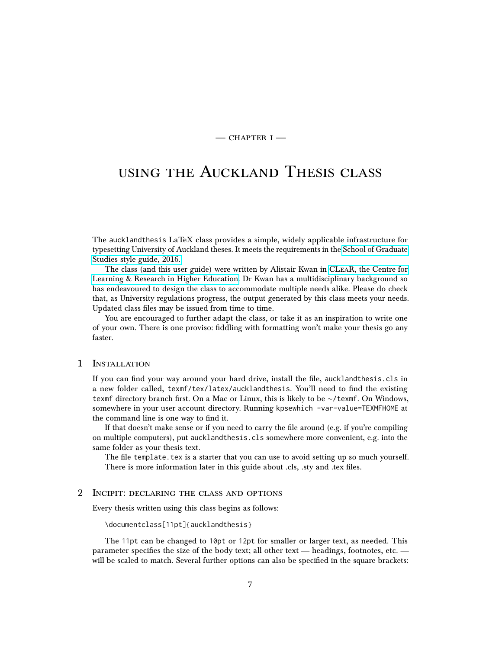$-$  CHAPTER I $-$ 

# <span id="page-6-0"></span>using the Auckland Thesis class

The aucklandthesis LaTeX class provides a simple, widely applicable infrastructure for typesetting University of Auckland theses. It meets the requirements in the [School of Graduate](https://www.auckland.ac.nz/en/for/current-students/cs-current-pg/cs-current-pg-policies/cs-pg-doctoral-policies-guidelines/cs-pg-doc-theses-dissertations.html) [Studies style guide, 2016.](https://www.auckland.ac.nz/en/for/current-students/cs-current-pg/cs-current-pg-policies/cs-pg-doctoral-policies-guidelines/cs-pg-doc-theses-dissertations.html)

The class (and this user guide) were written by Alistair Kwan in [CLeaR, the Centre for](https://www.clear.auckland.ac.nz/) [Learning & Research in Higher Education.](https://www.clear.auckland.ac.nz/) Dr Kwan has a multidisciplinary background so has endeavoured to design the class to accommodate multiple needs alike. Please do check that, as University regulations progress, the output generated by this class meets your needs. Updated class files may be issued from time to time.

You are encouraged to further adapt the class, or take it as an inspiration to write one of your own. There is one proviso: fiddling with formatting won't make your thesis go any faster.

### <span id="page-6-1"></span>1 Installation

If you can find your way around your hard drive, install the file, aucklandthesis.cls in a new folder called, texmf/tex/latex/aucklandthesis. You'll need to find the existing texmf directory branch first. On a Mac or Linux, this is likely to be ∼/texmf. On Windows, somewhere in your user account directory. Running kpsewhich -var-value=TEXMFHOME at the command line is one way to find it.

If that doesn't make sense or if you need to carry the file around (e.g. if you're compiling on multiple computers), put aucklandthesis.cls somewhere more convenient, e.g. into the same folder as your thesis text.

The file template.tex is a starter that you can use to avoid setting up so much yourself. There is more information later in this guide about .cls, .sty and .tex files.

#### <span id="page-6-2"></span>2 Incipit: declaring the class and options

Every thesis written using this class begins as follows:

\documentclass[11pt]{aucklandthesis}

The 11pt can be changed to 10pt or 12pt for smaller or larger text, as needed. This parameter specifies the size of the body text; all other text — headings, footnotes, etc. will be scaled to match. Several further options can also be specified in the square brackets: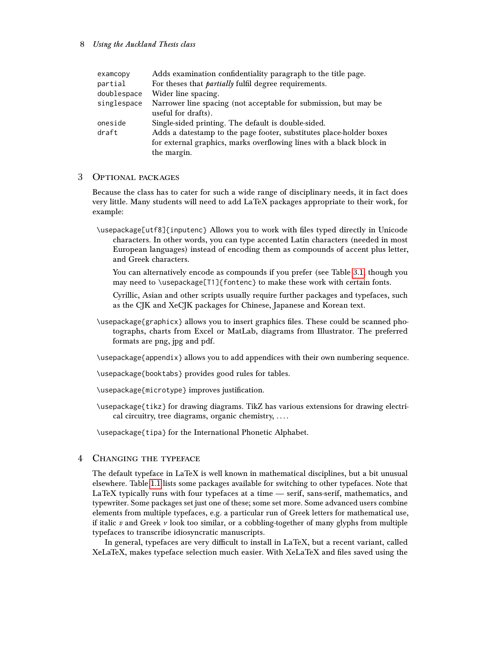#### 8 Using the Auckland Thesis class

| examcopy    | Adds examination confidentiality paragraph to the title page.        |
|-------------|----------------------------------------------------------------------|
| partial     | For theses that <i>partially</i> fulfil degree requirements.         |
| doublespace | Wider line spacing.                                                  |
| singlespace | Narrower line spacing (not acceptable for submission, but may be     |
|             | useful for drafts).                                                  |
| oneside     | Single-sided printing. The default is double-sided.                  |
| draft       | Adds a datestamp to the page footer, substitutes place-holder boxes  |
|             | for external graphics, marks overflowing lines with a black block in |
|             | the margin.                                                          |
|             |                                                                      |

#### <span id="page-7-0"></span>3 Optional packages

Because the class has to cater for such a wide range of disciplinary needs, it in fact does very little. Many students will need to add LaTeX packages appropriate to their work, for example:

- \usepackage[utf8]{inputenc} Allows you to work with files typed directly in Unicode characters. In other words, you can type accented Latin characters (needed in most European languages) instead of encoding them as compounds of accent plus letter, and Greek characters.
	- You can alternatively encode as compounds if you prefer (see Table [3.1,](#page-20-0) though you may need to \usepackage[T1]{fontenc} to make these work with certain fonts.

Cyrillic, Asian and other scripts usually require further packages and typefaces, such as the CJK and XeCJK packages for Chinese, Japanese and Korean text.

\usepackage{graphicx} allows you to insert graphics files. These could be scanned photographs, charts from Excel or MatLab, diagrams from Illustrator. The preferred formats are png, jpg and pdf.

\usepackage{appendix} allows you to add appendices with their own numbering sequence.

\usepackage{booktabs} provides good rules for tables.

\usepackage{microtype} improves justification.

\usepackage{tikz} for drawing diagrams. TikZ has various extensions for drawing electrical circuitry, tree diagrams, organic chemistry, . . . .

\usepackage{tipa} for the International Phonetic Alphabet.

#### <span id="page-7-1"></span>4 Changing the typeface

The default typeface in LaTeX is well known in mathematical disciplines, but a bit unusual elsewhere. Table [1.1](#page-8-1) lists some packages available for switching to other typefaces. Note that LaTeX typically runs with four typefaces at a time — serif, sans-serif, mathematics, and typewriter. Some packages set just one of these; some set more. Some advanced users combine elements from multiple typefaces, e.g. a particular run of Greek letters for mathematical use, if italic  $v$  and Greek  $v$  look too similar, or a cobbling-together of many glyphs from multiple typefaces to transcribe idiosyncratic manuscripts.

In general, typefaces are very difficult to install in LaTeX, but a recent variant, called XeLaTeX, makes typeface selection much easier. With XeLaTeX and files saved using the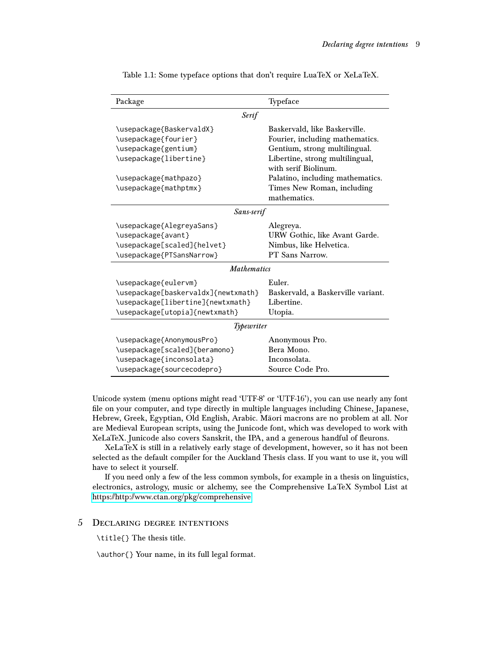| Package                             | Typeface                                   |  |  |  |  |  |
|-------------------------------------|--------------------------------------------|--|--|--|--|--|
| <b>Serif</b>                        |                                            |  |  |  |  |  |
| \usepackage{BaskervaldX}            | Baskervald, like Baskerville.              |  |  |  |  |  |
| \usepackage{fourier}                | Fourier, including mathematics.            |  |  |  |  |  |
| \usepackage{gentium}                | Gentium, strong multilingual.              |  |  |  |  |  |
| \usepackage{libertine}              | Libertine, strong multilingual,            |  |  |  |  |  |
|                                     | with serif Biolinum.                       |  |  |  |  |  |
| \usepackage{mathpazo}               | Palatino, including mathematics.           |  |  |  |  |  |
| \usepackage{mathptmx}               | Times New Roman, including<br>mathematics. |  |  |  |  |  |
| Sans-serif                          |                                            |  |  |  |  |  |
| \usepackage{AlegreyaSans}           | Alegreya.                                  |  |  |  |  |  |
| \usepackage{avant}                  | URW Gothic, like Avant Garde.              |  |  |  |  |  |
| \usepackage[scaled]{helvet}         | Nimbus, like Helvetica.                    |  |  |  |  |  |
| \usepackage{PTSansNarrow}           | PT Sans Narrow.                            |  |  |  |  |  |
| <b>Mathematics</b>                  |                                            |  |  |  |  |  |
| \usepackage{eulervm}                | Euler.                                     |  |  |  |  |  |
| \usepackage[baskervaldx]{newtxmath} | Baskervald, a Baskerville variant.         |  |  |  |  |  |
| \usepackage[libertine]{newtxmath}   | Libertine.                                 |  |  |  |  |  |
| \usepackage[utopia]{newtxmath}      | Utopia.                                    |  |  |  |  |  |
| Typewriter                          |                                            |  |  |  |  |  |
| \usepackage{AnonymousPro}           | Anonymous Pro.                             |  |  |  |  |  |
| \usepackage[scaled]{beramono}       | Bera Mono.                                 |  |  |  |  |  |
| \usepackage{inconsolata}            | Inconsolata.                               |  |  |  |  |  |
| \usepackage{sourcecodepro}          | Source Code Pro.                           |  |  |  |  |  |

<span id="page-8-1"></span>Table 1.1: Some typeface options that don't require LuaTeX or XeLaTeX.

Unicode system (menu options might read 'UTF-8' or 'UTF-16'), you can use nearly any font file on your computer, and type directly in multiple languages including Chinese, Japanese, Hebrew, Greek, Egyptian, Old English, Arabic. Māori macrons are no problem at all. Nor are Medieval European scripts, using the Junicode font, which was developed to work with XeLaTeX. Junicode also covers Sanskrit, the IPA, and a generous handful of fleurons.

XeLaTeX is still in a relatively early stage of development, however, so it has not been selected as the default compiler for the Auckland Thesis class. If you want to use it, you will have to select it yourself.

If you need only a few of the less common symbols, for example in a thesis on linguistics, electronics, astrology, music or alchemy, see the Comprehensive LaTeX Symbol List at <https://http://www.ctan.org/pkg/comprehensive>

# <span id="page-8-0"></span>5 Declaring degree intentions

\title{} The thesis title.

\author{} Your name, in its full legal format.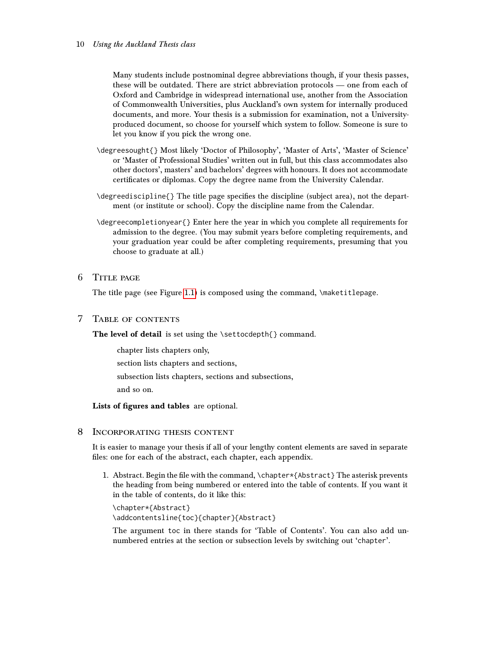Many students include postnominal degree abbreviations though, if your thesis passes, these will be outdated. There are strict abbreviation protocols — one from each of Oxford and Cambridge in widespread international use, another from the Association of Commonwealth Universities, plus Auckland's own system for internally produced documents, and more. Your thesis is a submission for examination, not a Universityproduced document, so choose for yourself which system to follow. Someone is sure to let you know if you pick the wrong one.

- \degreesought{} Most likely 'Doctor of Philosophy', 'Master of Arts', 'Master of Science' or 'Master of Professional Studies' written out in full, but this class accommodates also other doctors', masters' and bachelors' degrees with honours. It does not accommodate certificates or diplomas. Copy the degree name from the University Calendar.
- \degreediscipline{} The title page specifies the discipline (subject area), not the department (or institute or school). Copy the discipline name from the Calendar.
- \degreecompletionyear{} Enter here the year in which you complete all requirements for admission to the degree. (You may submit years before completing requirements, and your graduation year could be after completing requirements, presuming that you choose to graduate at all.)

# <span id="page-9-0"></span>6 Title page

The title page (see Figure [1.1\)](#page-10-0) is composed using the command, \maketitlepage.

# <span id="page-9-1"></span>7 Table of contents

The level of detail is set using the \settocdepth{} command.

chapter lists chapters only, section lists chapters and sections, subsection lists chapters, sections and subsections, and so on.

Lists of figures and tables are optional.

# <span id="page-9-2"></span>8 Incorporating thesis content

It is easier to manage your thesis if all of your lengthy content elements are saved in separate files: one for each of the abstract, each chapter, each appendix.

1. Abstract. Begin the file with the command, \chapter\*{Abstract} The asterisk prevents the heading from being numbered or entered into the table of contents. If you want it in the table of contents, do it like this:

```
\chapter*{Abstract}
\addcontentsline{toc}{chapter}{Abstract}
```
The argument toc in there stands for 'Table of Contents'. You can also add unnumbered entries at the section or subsection levels by switching out 'chapter'.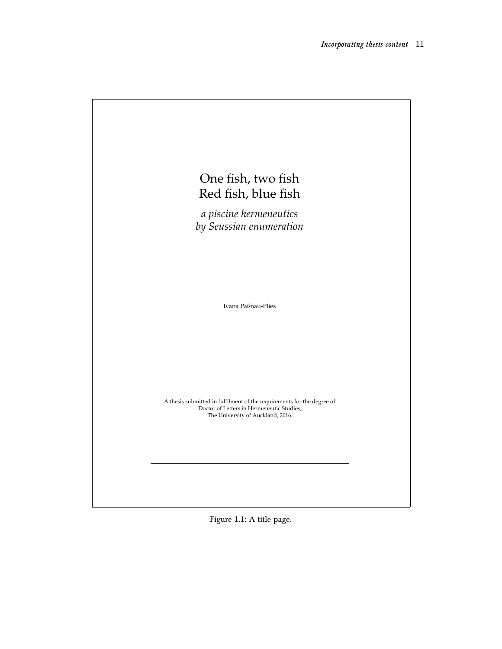| One fish, two fish<br>Red fish, blue fish                                                                                                                |
|----------------------------------------------------------------------------------------------------------------------------------------------------------|
| a piscine hermeneutics<br>by Seussian enumeration                                                                                                        |
|                                                                                                                                                          |
|                                                                                                                                                          |
| Ivana Paßnau-Plies                                                                                                                                       |
|                                                                                                                                                          |
|                                                                                                                                                          |
| A thesis submitted in fulfilment of the requirements for the degree of<br>Doctor of Letters in Hermeneutic Studies,<br>The University of Auckland, 2016. |
|                                                                                                                                                          |

<span id="page-10-0"></span>Figure 1.1: A title page.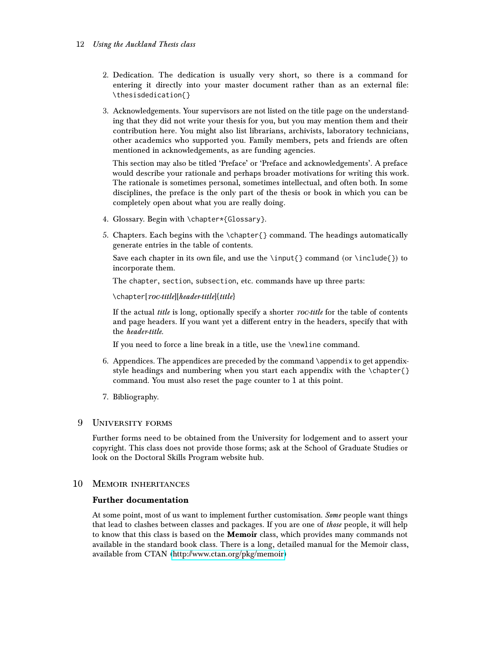#### 12 Using the Auckland Thesis class

- 2. Dedication. The dedication is usually very short, so there is a command for entering it directly into your master document rather than as an external file: \thesisdedication{}
- 3. Acknowledgements. Your supervisors are not listed on the title page on the understanding that they did not write your thesis for you, but you may mention them and their contribution here. You might also list librarians, archivists, laboratory technicians, other academics who supported you. Family members, pets and friends are often mentioned in acknowledgements, as are funding agencies.

This section may also be titled 'Preface' or 'Preface and acknowledgements'. A preface would describe your rationale and perhaps broader motivations for writing this work. The rationale is sometimes personal, sometimes intellectual, and often both. In some disciplines, the preface is the only part of the thesis or book in which you can be completely open about what you are really doing.

- 4. Glossary. Begin with \chapter\*{Glossary}.
- 5. Chapters. Each begins with the \chapter{} command. The headings automatically generate entries in the table of contents.

Save each chapter in its own file, and use the \input{} command (or \include{}) to incorporate them.

The chapter, section, subsection, etc. commands have up three parts:

\chapter[roc-title][header-title]{title}

If the actual *title* is long, optionally specify a shorter  $\textit{roc-title}$  for the table of contents and page headers. If you want yet a different entry in the headers, specify that with the header-title.

If you need to force a line break in a title, use the \newline command.

- 6. Appendices. The appendices are preceded by the command \appendix to get appendixstyle headings and numbering when you start each appendix with the \chapter{} command. You must also reset the page counter to 1 at this point.
- 7. Bibliography.

# <span id="page-11-0"></span>9 University forms

Further forms need to be obtained from the University for lodgement and to assert your copyright. This class does not provide those forms; ask at the School of Graduate Studies or look on the Doctoral Skills Program website hub.

# 10 Memoir inheritances

# <span id="page-11-2"></span><span id="page-11-1"></span>Further documentation

At some point, most of us want to implement further customisation. Some people want things that lead to clashes between classes and packages. If you are one of those people, it will help to know that this class is based on the Memoir class, which provides many commands not available in the standard book class. There is a long, detailed manual for the Memoir class, available from CTAN [\(http://www.ctan.org/pkg/memoir\)](http://www.ctan.org/pkg/memoir)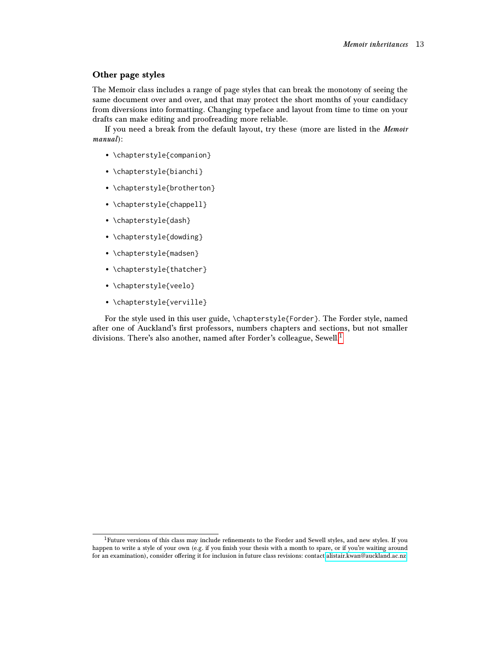#### <span id="page-12-0"></span>Other page styles

The Memoir class includes a range of page styles that can break the monotony of seeing the same document over and over, and that may protect the short months of your candidacy from diversions into formatting. Changing typeface and layout from time to time on your drafts can make editing and proofreading more reliable.

If you need a break from the default layout, try these (more are listed in the Memoir manual):

- \chapterstyle{companion}
- \chapterstyle{bianchi}
- \chapterstyle{brotherton}
- \chapterstyle{chappell}
- \chapterstyle{dash}
- \chapterstyle{dowding}
- \chapterstyle{madsen}
- \chapterstyle{thatcher}
- \chapterstyle{veelo}
- \chapterstyle{verville}

For the style used in this user guide, \chapterstyle{Forder}. The Forder style, named after one of Auckland's first professors, numbers chapters and sections, but not smaller divisions. There's also another, named after Forder's colleague, Sewell.<sup>[1](#page-12-1)</sup>

<span id="page-12-1"></span><sup>1</sup>Future versions of this class may include refinements to the Forder and Sewell styles, and new styles. If you happen to write a style of your own (e.g. if you finish your thesis with a month to spare, or if you're waiting around for an examination), consider offering it for inclusion in future class revisions: contact [alistair.kwan@auckland.ac.nz.](alistair.kwan@auckland.ac.nz)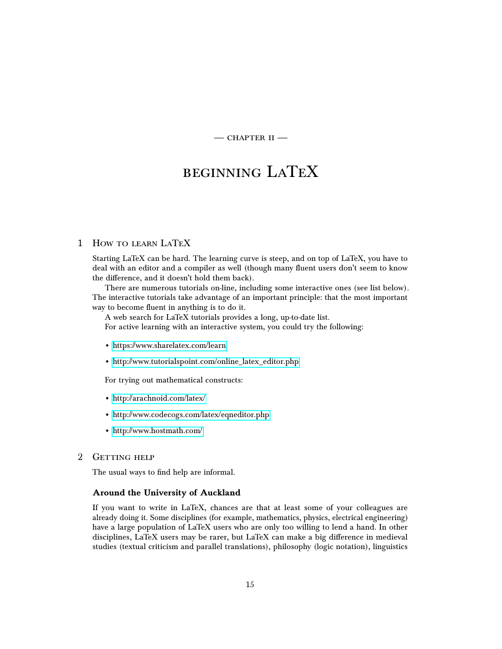$-$  CHAPTER II  $-$ 

# <span id="page-14-0"></span>beginning LaTeX

# <span id="page-14-1"></span>1 How to learn LaTeX

Starting LaTeX can be hard. The learning curve is steep, and on top of LaTeX, you have to deal with an editor and a compiler as well (though many fluent users don't seem to know the difference, and it doesn't hold them back).

There are numerous tutorials on-line, including some interactive ones (see list below). The interactive tutorials take advantage of an important principle: that the most important way to become fluent in anything is to do it.

A web search for LaTeX tutorials provides a long, up-to-date list. For active learning with an interactive system, you could try the following:

- <https://www.sharelatex.com/learn>
- [http://www.tutorialspoint.com/online\\_latex\\_editor.php](http://www.tutorialspoint.com/online_latex_editor.php)

For trying out mathematical constructs:

- <http://arachnoid.com/latex/>
- <http://www.codecogs.com/latex/eqneditor.php>
- <http://www.hostmath.com/>

# <span id="page-14-2"></span>2 GETTING HELP

The usual ways to find help are informal.

#### <span id="page-14-3"></span>Around the University of Auckland

If you want to write in LaTeX, chances are that at least some of your colleagues are already doing it. Some disciplines (for example, mathematics, physics, electrical engineering) have a large population of LaTeX users who are only too willing to lend a hand. In other disciplines, LaTeX users may be rarer, but LaTeX can make a big difference in medieval studies (textual criticism and parallel translations), philosophy (logic notation), linguistics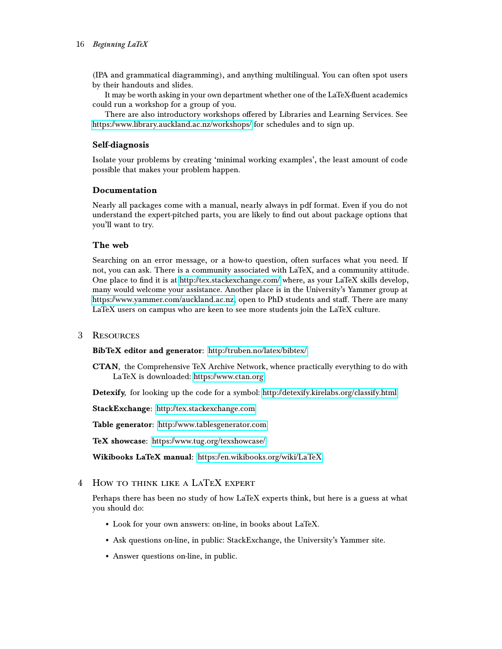(IPA and grammatical diagramming), and anything multilingual. You can often spot users by their handouts and slides.

It may be worth asking in your own department whether one of the LaTeX-fluent academics could run a workshop for a group of you.

There are also introductory workshops offered by Libraries and Learning Services. See <https://www.library.auckland.ac.nz/workshops/> for schedules and to sign up.

# <span id="page-15-0"></span>Self-diagnosis

Isolate your problems by creating 'minimal working examples', the least amount of code possible that makes your problem happen.

# <span id="page-15-1"></span>Documentation

Nearly all packages come with a manual, nearly always in pdf format. Even if you do not understand the expert-pitched parts, you are likely to find out about package options that you'll want to try.

# <span id="page-15-2"></span>The web

Searching on an error message, or a how-to question, often surfaces what you need. If not, you can ask. There is a community associated with LaTeX, and a community attitude. One place to find it is at<http://tex.stackexchange.com/> where, as your LaTeX skills develop, many would welcome your assistance. Another place is in the University's Yammer group at [https://www.yammer.com/auckland.ac.nz,](https://www.yammer.com/auckland.ac.nz) open to PhD students and staff. There are many LaTeX users on campus who are keen to see more students join the LaTeX culture.

#### <span id="page-15-3"></span>3 Resources

BibTeX editor and generator: <http://truben.no/latex/bibtex/>

CTAN, the Comprehensive TeX Archive Network, whence practically everything to do with LaTeX is downloaded:<https://www.ctan.org>

Detexify, for looking up the code for a symbol:<http://detexify.kirelabs.org/classify.html>

StackExchange: <http://tex.stackexchange.com>

Table generator: <http://www.tablesgenerator.com>

TeX showcase: <https://www.tug.org/texshowcase/>

Wikibooks LaTeX manual: <https://en.wikibooks.org/wiki/LaTeX>

<span id="page-15-4"></span>4 How to think like a LaTeX expert

Perhaps there has been no study of how LaTeX experts think, but here is a guess at what you should do:

- Look for your own answers: on-line, in books about LaTeX.
- Ask questions on-line, in public: StackExchange, the University's Yammer site.
- Answer questions on-line, in public.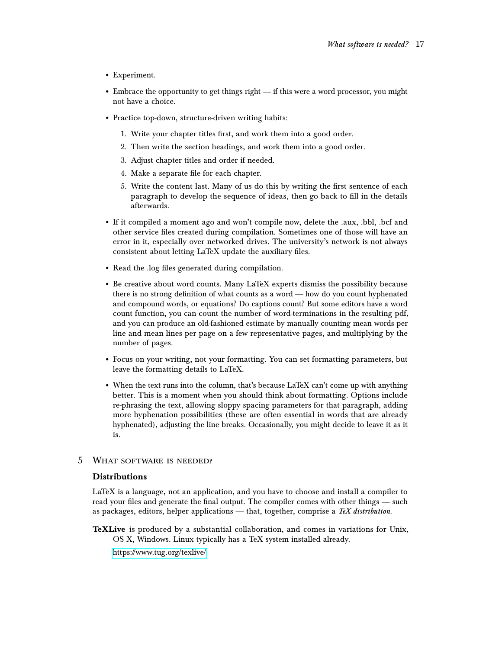- Experiment.
- Embrace the opportunity to get things right if this were a word processor, you might not have a choice.
- Practice top-down, structure-driven writing habits:
	- 1. Write your chapter titles first, and work them into a good order.
	- 2. Then write the section headings, and work them into a good order.
	- 3. Adjust chapter titles and order if needed.
	- 4. Make a separate file for each chapter.
	- 5. Write the content last. Many of us do this by writing the first sentence of each paragraph to develop the sequence of ideas, then go back to fill in the details afterwards.
- If it compiled a moment ago and won't compile now, delete the .aux, .bbl, .bcf and other service files created during compilation. Sometimes one of those will have an error in it, especially over networked drives. The university's network is not always consistent about letting LaTeX update the auxiliary files.
- Read the .log files generated during compilation.
- Be creative about word counts. Many LaTeX experts dismiss the possibility because there is no strong definition of what counts as a word — how do you count hyphenated and compound words, or equations? Do captions count? But some editors have a word count function, you can count the number of word-terminations in the resulting pdf, and you can produce an old-fashioned estimate by manually counting mean words per line and mean lines per page on a few representative pages, and multiplying by the number of pages.
- Focus on your writing, not your formatting. You can set formatting parameters, but leave the formatting details to LaTeX.
- When the text runs into the column, that's because LaTeX can't come up with anything better. This is a moment when you should think about formatting. Options include re-phrasing the text, allowing sloppy spacing parameters for that paragraph, adding more hyphenation possibilities (these are often essential in words that are already hyphenated), adjusting the line breaks. Occasionally, you might decide to leave it as it is.

# <span id="page-16-0"></span>5 What software is needed?

#### <span id="page-16-1"></span>Distributions

LaTeX is a language, not an application, and you have to choose and install a compiler to read your files and generate the final output. The compiler comes with other things — such as packages, editors, helper applications — that, together, comprise a  $T\not\in X$  distribution.

TeXLive is produced by a substantial collaboration, and comes in variations for Unix, OS X, Windows. Linux typically has a TeX system installed already.

<https://www.tug.org/texlive/>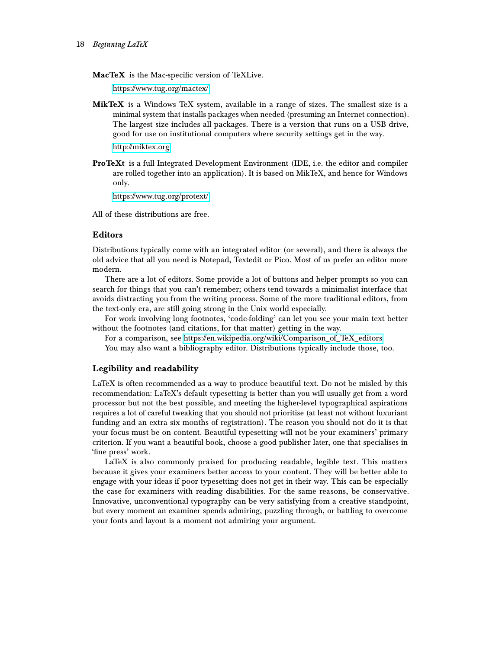MacTeX is the Mac-specific version of TeXLive.

<https://www.tug.org/mactex/>

MikTeX is a Windows TeX system, available in a range of sizes. The smallest size is a minimal system that installs packages when needed (presuming an Internet connection). The largest size includes all packages. There is a version that runs on a USB drive, good for use on institutional computers where security settings get in the way.

<http://miktex.org>

ProTeXt is a full Integrated Development Environment (IDE, i.e. the editor and compiler are rolled together into an application). It is based on MikTeX, and hence for Windows only.

<https://www.tug.org/protext/>

All of these distributions are free.

# <span id="page-17-0"></span>Editors

Distributions typically come with an integrated editor (or several), and there is always the old advice that all you need is Notepad, Textedit or Pico. Most of us prefer an editor more modern.

There are a lot of editors. Some provide a lot of buttons and helper prompts so you can search for things that you can't remember; others tend towards a minimalist interface that avoids distracting you from the writing process. Some of the more traditional editors, from the text-only era, are still going strong in the Unix world especially.

For work involving long footnotes, 'code-folding' can let you see your main text better without the footnotes (and citations, for that matter) getting in the way.

For a comparison, see [https://en.wikipedia.org/wiki/Comparison\\_of\\_TeX\\_editors](https://en.wikipedia.org/wiki/Comparison_of_TeX_editors)

You may also want a bibliography editor. Distributions typically include those, too.

# <span id="page-17-1"></span>Legibility and readability

LaTeX is often recommended as a way to produce beautiful text. Do not be misled by this recommendation: LaTeX's default typesetting is better than you will usually get from a word processor but not the best possible, and meeting the higher-level typographical aspirations requires a lot of careful tweaking that you should not prioritise (at least not without luxuriant funding and an extra six months of registration). The reason you should not do it is that your focus must be on content. Beautiful typesetting will not be your examiners' primary criterion. If you want a beautiful book, choose a good publisher later, one that specialises in 'fine press' work.

LaTeX is also commonly praised for producing readable, legible text. This matters because it gives your examiners better access to your content. They will be better able to engage with your ideas if poor typesetting does not get in their way. This can be especially the case for examiners with reading disabilities. For the same reasons, be conservative. Innovative, unconventional typography can be very satisfying from a creative standpoint, but every moment an examiner spends admiring, puzzling through, or battling to overcome your fonts and layout is a moment not admiring your argument.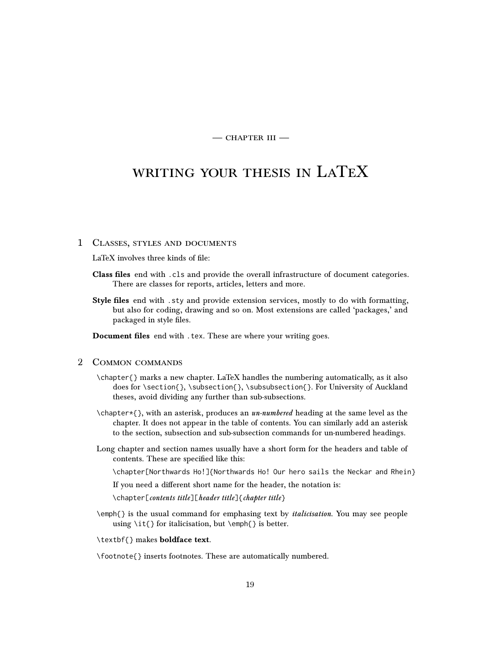$-$  CHAPTER III $-$ 

# <span id="page-18-0"></span>writing your thesis in LaTeX

#### <span id="page-18-1"></span>1 Classes, styles and documents

LaTeX involves three kinds of file:

- Class files end with .cls and provide the overall infrastructure of document categories. There are classes for reports, articles, letters and more.
- Style files end with . sty and provide extension services, mostly to do with formatting, but also for coding, drawing and so on. Most extensions are called 'packages,' and packaged in style files.

Document files end with .tex. These are where your writing goes.

#### <span id="page-18-2"></span>2 Common commands

- \chapter{} marks a new chapter. LaTeX handles the numbering automatically, as it also does for \section{}, \subsection{}, \subsubsection{}. For University of Auckland theses, avoid dividing any further than sub-subsections.
- $\eta$ ) \chapter\*{}, with an asterisk, produces an *un-numbered* heading at the same level as the chapter. It does not appear in the table of contents. You can similarly add an asterisk to the section, subsection and sub-subsection commands for un-numbered headings.
- Long chapter and section names usually have a short form for the headers and table of contents. These are specified like this:

\chapter[Northwards Ho!]{Northwards Ho! Our hero sails the Neckar and Rhein}

If you need a different short name for the header, the notation is:

\chapter[contents title][header title]{chapter title}

\emph{} is the usual command for emphasing text by italicisation. You may see people using \it{} for italicisation, but \emph{} is better.

\textbf{} makes boldface text.

\footnote{} inserts footnotes. These are automatically numbered.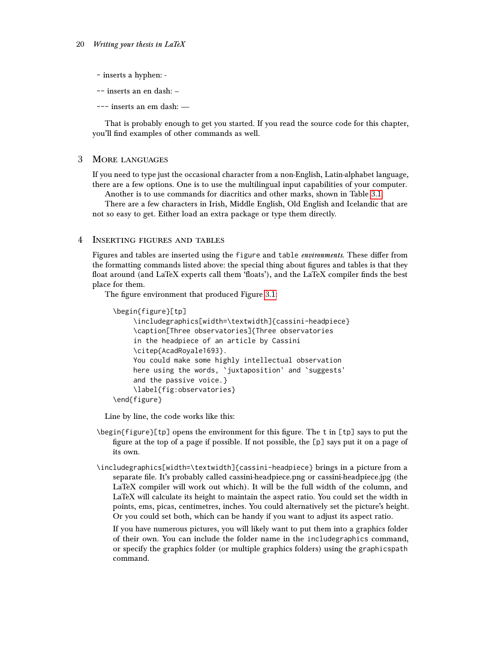- inserts a hyphen: -
- -- inserts an en dash: –
- --- inserts an em dash: —

That is probably enough to get you started. If you read the source code for this chapter, you'll find examples of other commands as well.

#### <span id="page-19-0"></span>3 More languages

If you need to type just the occasional character from a non-English, Latin-alphabet language, there are a few options. One is to use the multilingual input capabilities of your computer.

Another is to use commands for diacritics and other marks, shown in Table [3.1.](#page-20-0)

There are a few characters in Irish, Middle English, Old English and Icelandic that are not so easy to get. Either load an extra package or type them directly.

#### <span id="page-19-1"></span>4 Inserting figures and tables

Figures and tables are inserted using the figure and table *environments*. These differ from the formatting commands listed above: the special thing about figures and tables is that they float around (and LaTeX experts call them 'floats'), and the LaTeX compiler finds the best place for them.

The figure environment that produced Figure [3.1:](#page-21-0)

```
\begin{figure}[tp]
    \includegraphics[width=\textwidth]{cassini-headpiece}
     \caption[Three observatories]{Three observatories
     in the headpiece of an article by Cassini
     \citep{AcadRoyale1693}.
     You could make some highly intellectual observation
     here using the words, `juxtaposition' and `suggests'
     and the passive voice.}
     \label{fig:observatories}
\end{figure}
```
Line by line, the code works like this:

- \begin{figure}[tp] opens the environment for this figure. The t in [tp] says to put the figure at the top of a page if possible. If not possible, the [p] says put it on a page of its own.
- \includegraphics[width=\textwidth]{cassini-headpiece} brings in a picture from a separate file. It's probably called cassini-headpiece.png or cassini-headpiece.jpg (the LaTeX compiler will work out which). It will be the full width of the column, and LaTeX will calculate its height to maintain the aspect ratio. You could set the width in points, ems, picas, centimetres, inches. You could alternatively set the picture's height. Or you could set both, which can be handy if you want to adjust its aspect ratio.

If you have numerous pictures, you will likely want to put them into a graphics folder of their own. You can include the folder name in the includegraphics command, or specify the graphics folder (or multiple graphics folders) using the graphicspath command.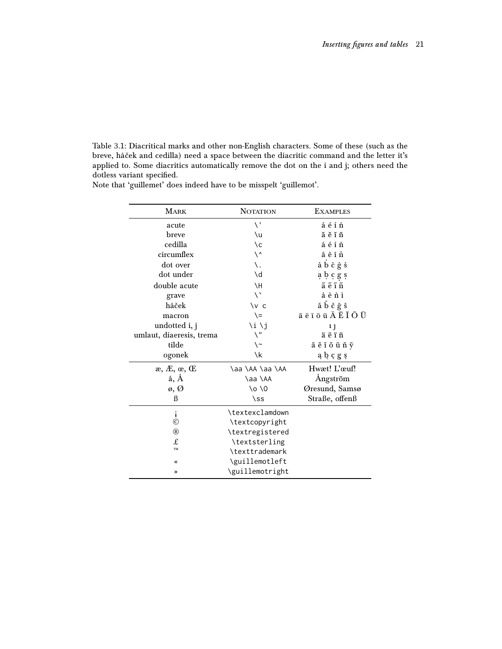<span id="page-20-0"></span>Table 3.1: Diacritical marks and other non-English characters. Some of these (such as the breve, háček and cedilla) need a space between the diacritic command and the letter it's applied to. Some diacritics automatically remove the dot on the i and j; others need the dotless variant specified.

| <b>MARK</b>              | <b>NOTATION</b>       | <b>EXAMPLES</b>                                                                                        |  |  |
|--------------------------|-----------------------|--------------------------------------------------------------------------------------------------------|--|--|
| acute                    | $\setminus$           | áéíń                                                                                                   |  |  |
| breve                    | ١u                    | ăĕĭň                                                                                                   |  |  |
| cedilla                  | ١c                    | áéíń                                                                                                   |  |  |
| circumflex               | $\backslash$ ^        | âêîñ                                                                                                   |  |  |
| dot over                 | ١.                    | abcgs                                                                                                  |  |  |
| dot under                | \d                    | abcgs                                                                                                  |  |  |
| double acute             | <b>NH</b>             | ãẽĩñ                                                                                                   |  |  |
| grave                    | $\setminus$           | àènì                                                                                                   |  |  |
| háček                    | $\vee$ c              | ă b č ğ š                                                                                              |  |  |
| macron                   | $\setminus$           | $\bar{a}$ $\bar{e}$ $\bar{\tau}$ $\bar{o}$ $\bar{u}$ $\bar{A}$ $\bar{E}$ $\bar{I}$ $\bar{O}$ $\bar{U}$ |  |  |
| undotted i, j            | \i \j                 | 1 <sub>1</sub>                                                                                         |  |  |
| umlaut, diaeresis, trema | $\setminus$ "         | äëïñ                                                                                                   |  |  |
| tilde                    | $\backslash$ ~        | ã ẽ ĩ õ ũ ñ ỹ                                                                                          |  |  |
| ogonek                   | ١k                    | ąbçgş                                                                                                  |  |  |
| æ, Æ, œ, Œ               | \aa \AA \aa \AA       | Hwæt! L'œuf!                                                                                           |  |  |
| å, À                     | \aa \AA               | Angström                                                                                               |  |  |
| ø, Ø                     | \o \0                 | Øresund, Samsø                                                                                         |  |  |
| ß                        | $\setminus$ ss        | Straße, offenß                                                                                         |  |  |
| i                        | \textexclamdown       |                                                                                                        |  |  |
| $\odot$                  | \textcopyright        |                                                                                                        |  |  |
| $^{\circledR}$           | \textregistered       |                                                                                                        |  |  |
| £                        | \textsterling         |                                                                                                        |  |  |
| <b>TM</b>                | <b>\texttrademark</b> |                                                                                                        |  |  |
| «                        | \guillemotleft        |                                                                                                        |  |  |
| ≫                        | \guillemotright       |                                                                                                        |  |  |

Note that 'guillemet' does indeed have to be misspelt 'guillemot'.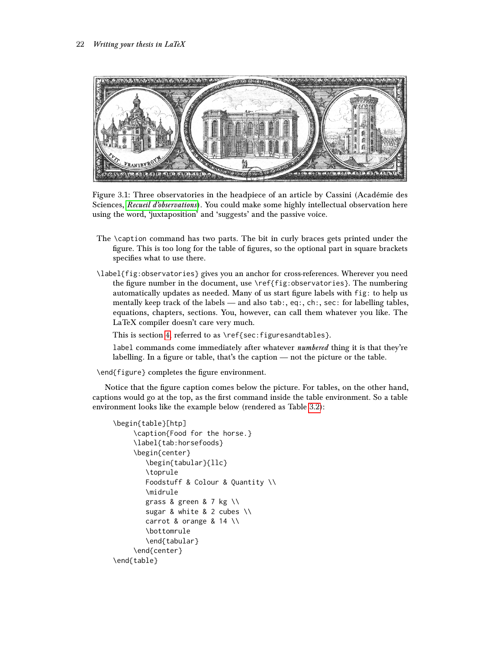

Figure 3.1: Three observatories in the headpiece of an article by Cassini (Académie des Sciences, [Recueil d'observations](#page-36-0)). You could make some highly intellectual observation here using the word, 'juxtaposition' and 'suggests' and the passive voice.

- <span id="page-21-0"></span>The \caption command has two parts. The bit in curly braces gets printed under the figure. This is too long for the table of figures, so the optional part in square brackets specifies what to use there.
- \label{fig:observatories} gives you an anchor for cross-references. Wherever you need the figure number in the document, use \ref{fig:observatories}. The numbering automatically updates as needed. Many of us start figure labels with fig: to help us mentally keep track of the labels — and also tab:, eq:, ch:, sec: for labelling tables, equations, chapters, sections. You, however, can call them whatever you like. The LaTeX compiler doesn't care very much.

This is section [4,](#page-19-1) referred to as \ref{sec:figuresandtables}.

label commands come immediately after whatever *numbered* thing it is that they're labelling. In a figure or table, that's the caption — not the picture or the table.

\end{figure} completes the figure environment.

Notice that the figure caption comes below the picture. For tables, on the other hand, captions would go at the top, as the first command inside the table environment. So a table environment looks like the example below (rendered as Table [3.2\)](#page-22-1):

```
\begin{table}[htp]
     \caption{Food for the horse.}
     \label{tab:horsefoods}
     \begin{center}
        \begin{tabular}{llc}
        \toprule
        Foodstuff & Colour & Quantity \\
        \midrule
        grass & green & 7 kg \\
        sugar & white & 2 cubes \\
        carrot & orange & 14 \\
        \bottomrule
        \end{tabular}
    \end{center}
\end{table}
```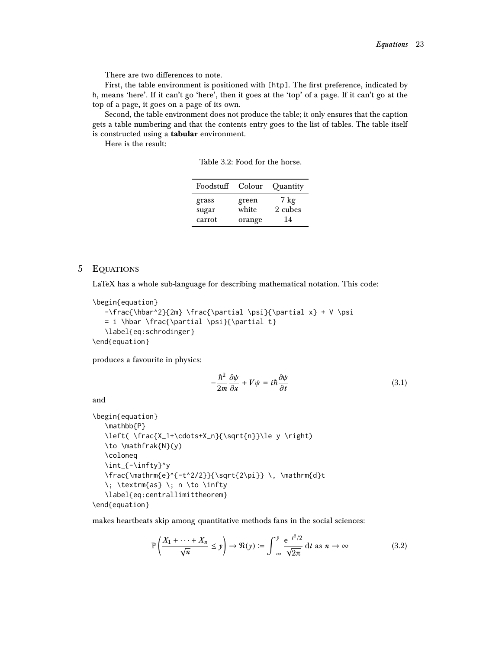There are two differences to note.

First, the table environment is positioned with [htp]. The first preference, indicated by h, means 'here'. If it can't go 'here', then it goes at the 'top' of a page. If it can't go at the top of a page, it goes on a page of its own.

Second, the table environment does not produce the table; it only ensures that the caption gets a table numbering and that the contents entry goes to the list of tables. The table itself is constructed using a tabular environment.

Here is the result:

<span id="page-22-1"></span>Table 3.2: Food for the horse.

| Foodstuff | Colour | Quantity |
|-----------|--------|----------|
| grass     | green  | 7 kg     |
| sugar     | white  | 2 cubes  |
| carrot    | orange | 14       |

# <span id="page-22-0"></span>5 Equations

LaTeX has a whole sub-language for describing mathematical notation. This code:

```
\begin{equation}
```

```
-\frac{\hbar^2}{2m} \frac{\partial \psi}{\partial x} + V \psi= i \hbar \frac{\partial \psi}{\partial t}
   \label{eq:schrodinger}
\end{equation}
```
produces a favourite in physics:

$$
-\frac{\hbar^2}{2m}\frac{\partial\psi}{\partial x} + V\psi = i\hbar\frac{\partial\psi}{\partial t}
$$
 (3.1)

and

```
\begin{equation}
   \mathbb{P}
   \left( \frac{X_1+\cdots+X_n}{\sqrt{n}}\le y \right)
   \to \mathfrak{N}(y)
   \coloneq
   \int_{-\infty}^y
   \frac{\mathrm{e}^{-t^2/2}}{\sqrt{2\pi}} \, \mathrm{d}t
   \; \textrm{as} \; n \to \infty
   \label{eq:centrallimittheorem}
\end{equation}
```
makes heartbeats skip among quantitative methods fans in the social sciences:

$$
\mathbb{P}\left(\frac{X_1 + \dots + X_n}{\sqrt{n}} \le y\right) \to \Re(y) := \int_{-\infty}^y \frac{e^{-t^2/2}}{\sqrt{2\pi}} dt \text{ as } n \to \infty \tag{3.2}
$$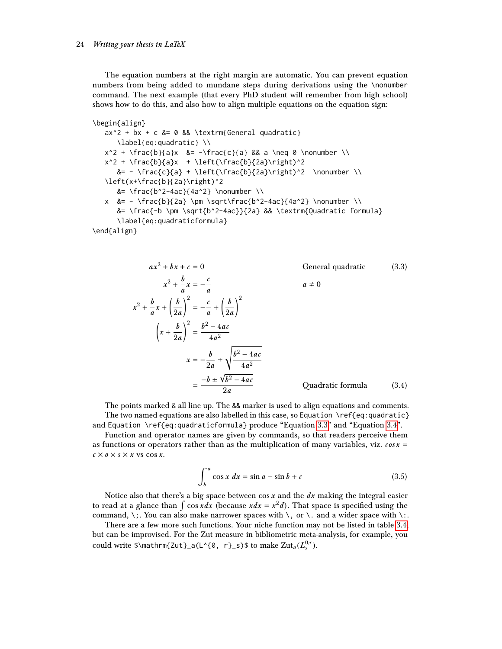The equation numbers at the right margin are automatic. You can prevent equation numbers from being added to mundane steps during derivations using the \nonumber command. The next example (that every PhD student will remember from high school) shows how to do this, and also how to align multiple equations on the equation sign:

```
\begin{align}
   ax^2 + bx + c &= 0 && \textrm{General quadratic}
      \label{eq:quadratic} \\
   x^2 + \frac{b}{a}x &= -\frac{c}{a} && a \neq 0 \nonumber \\
   x^2 + \frac{b}{a}x + \left(\frac{b}{2a}\right)^2
      &= - \frac{c}{a} + \left(\frac{b}{2a}\right)^2 \nonumber \\
   \left(x+\frac{b}{2a}\right)^2
      &= \frac{b^2-4ac}{4a^2} \nonumber \\
   x &= - \frac{b}{2a} \pm \sqrt\frac{b^2-4ac}{4a^2} \nonumber \\
      &= \frac{-b \pm \sqrt{b^2-4ac}}{2a} && \textrm{Quadratic formula}
      \label{eq:quadraticformula}
\end{align}
```

```
ax^2 + bx + c = 0 General quadratic (3.3)
              x^2 + \frac{b}{a}\frac{b}{a}x=-\frac{c}{a}a
                                                                                  a \neq 0x^2 + \frac{b}{a}\frac{b}{a}x+\left(\frac{b}{2a}\right)2a\Big)^2 = -\frac{c}{2}rac{c}{a} + \left(\frac{b}{2a}\right)2a\chi^2\left(x+\frac{b}{2}\right)2a\int_{0}^{2} = \frac{b^2 - 4ac}{4a}4a^2x=-\frac{b}{\circ}\frac{6}{2a} \pm\sqrt{b^2-4ac}4a^2=\frac{-b\pm\sqrt{2}}{2}√
                                             b^2-4ac2aQuadratic formula (3.4)
```
The points marked & all line up. The && marker is used to align equations and comments. The two named equations are also labelled in this case, so Equation \ref{eq:quadratic} and Equation \ref{eq:quadraticformula} produce "Equation [3.3"](#page-23-0) and "Equation [3.4"](#page-23-1).

Function and operator names are given by commands, so that readers perceive them as functions or operators rather than as the multiplication of many variables, viz.  $cos x =$  $c \times o \times s \times x$  vs  $\cos x$ .

<span id="page-23-1"></span>
$$
\int_{b}^{a} \cos x \, dx = \sin a - \sin b + c \tag{3.5}
$$

Notice also that there's a big space between  $\cos x$  and the  $dx$  making the integral easier to read at a glance than  $\int \cos x dx$  (because  $x dx = x^2 d$ ). That space is specified using the command, \;. You can also make narrower spaces with \, or \. and a wider space with \..

There are a few more such functions. Your niche function may not be listed in table [3.4,](#page-24-1) but can be improvised. For the Zut measure in bibliometric meta-analysis, for example, you could write  $\mathcal{Z}ut}_{a}(L^{0}, r)=\$  to make  $Zut_{a}(L^{0,r}_{s}).$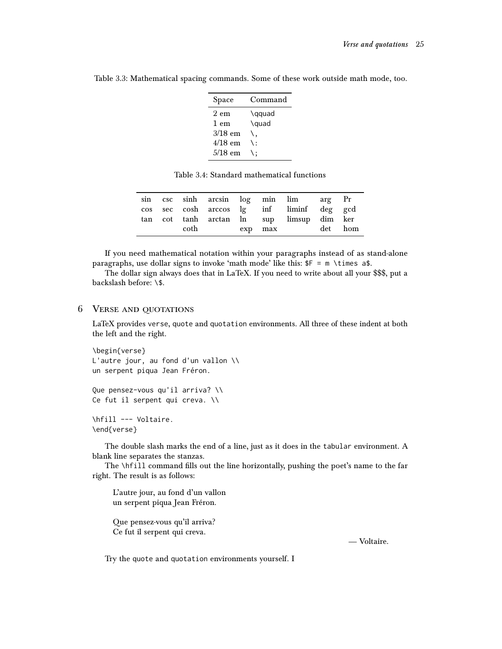| Space     | Command        |
|-----------|----------------|
| $2$ em    | \qquad         |
| 1 em      | \quad          |
| $3/18$ em |                |
| 4/18 em   | $\backslash$ : |
| $5/18$ em |                |

Table 3.3: Mathematical spacing commands. Some of these work outside math mode, too.

<span id="page-24-1"></span>Table 3.4: Standard mathematical functions

|  |      |         |  | sin csc sinh arcsin log min lim arg Pr    |         |
|--|------|---------|--|-------------------------------------------|---------|
|  |      |         |  | cos sec cosh arccos lg inf liminf deg gcd |         |
|  |      |         |  | tan cot tanh arctan ln sup limsup dim ker |         |
|  | coth | exp max |  |                                           | det hom |

If you need mathematical notation within your paragraphs instead of as stand-alone paragraphs, use dollar signs to invoke 'math mode' like this:  $F = m \times imes$  a\$.

The dollar sign always does that in LaTeX. If you need to write about all your \$\$\$, put a backslash before: \\$.

# <span id="page-24-0"></span>6 Verse and quotations

LaTeX provides verse, quote and quotation environments. All three of these indent at both the left and the right.

```
\begin{verse}
L'autre jour, au fond d'un vallon \\
un serpent piqua Jean Fréron.
```

```
Que pensez-vous qu'il arriva? \\
Ce fut il serpent qui creva. \\
```

```
\hfill --- Voltaire.
\end{verse}
```
The double slash marks the end of a line, just as it does in the tabular environment. A blank line separates the stanzas.

The \hfill command fills out the line horizontally, pushing the poet's name to the far right. The result is as follows:

L'autre jour, au fond d'un vallon un serpent piqua Jean Fréron.

Que pensez-vous qu'il arriva? Ce fut il serpent qui creva.

— Voltaire.

Try the quote and quotation environments yourself. I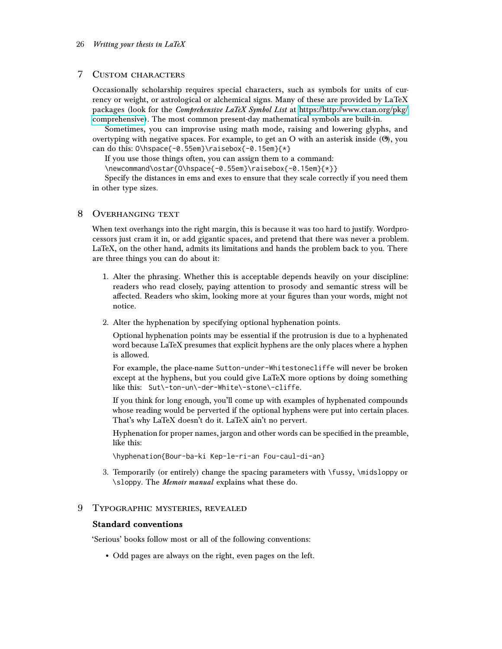## <span id="page-25-0"></span>7 Custom characters

Occasionally scholarship requires special characters, such as symbols for units of currency or weight, or astrological or alchemical signs. Many of these are provided by LaTeX packages (look for the Comprehensive LaTeX Symbol List at [https://http://www.ctan.org/pkg/](https://http://www.ctan.org/pkg/comprehensive) [comprehensive\)](https://http://www.ctan.org/pkg/comprehensive). The most common present-day mathematical symbols are built-in.

Sometimes, you can improvise using math mode, raising and lowering glyphs, and overtyping with negative spaces. For example, to get an O with an asterisk inside  $(\mathcal{O})$ , you can do this: O\hspace{-0.55em}\raisebox{-0.15em}{\*}

If you use those things often, you can assign them to a command:

\newcommand\ostar{O\hspace{-0.55em}\raisebox{-0.15em}{\*}}

Specify the distances in ems and exes to ensure that they scale correctly if you need them in other type sizes.

#### <span id="page-25-1"></span>8 Overhanging text

When text overhangs into the right margin, this is because it was too hard to justify. Wordprocessors just cram it in, or add gigantic spaces, and pretend that there was never a problem. LaTeX, on the other hand, admits its limitations and hands the problem back to you. There are three things you can do about it:

- 1. Alter the phrasing. Whether this is acceptable depends heavily on your discipline: readers who read closely, paying attention to prosody and semantic stress will be affected. Readers who skim, looking more at your figures than your words, might not notice.
- 2. Alter the hyphenation by specifying optional hyphenation points.

Optional hyphenation points may be essential if the protrusion is due to a hyphenated word because LaTeX presumes that explicit hyphens are the only places where a hyphen is allowed.

For example, the place-name Sutton-under-Whitestonecliffe will never be broken except at the hyphens, but you could give LaTeX more options by doing something like this: Sut\-ton-un\-der-White\-stone\-cliffe.

If you think for long enough, you'll come up with examples of hyphenated compounds whose reading would be perverted if the optional hyphens were put into certain places. That's why LaTeX doesn't do it. LaTeX ain't no pervert.

Hyphenation for proper names, jargon and other words can be specified in the preamble, like this:

\hyphenation{Bour-ba-ki Kep-le-ri-an Fou-caul-di-an}

3. Temporarily (or entirely) change the spacing parameters with \fussy, \midsloppy or \sloppy. The Memoir manual explains what these do.

# <span id="page-25-2"></span>9 Typographic mysteries, revealed

#### <span id="page-25-3"></span>Standard conventions

'Serious' books follow most or all of the following conventions:

• Odd pages are always on the right, even pages on the left.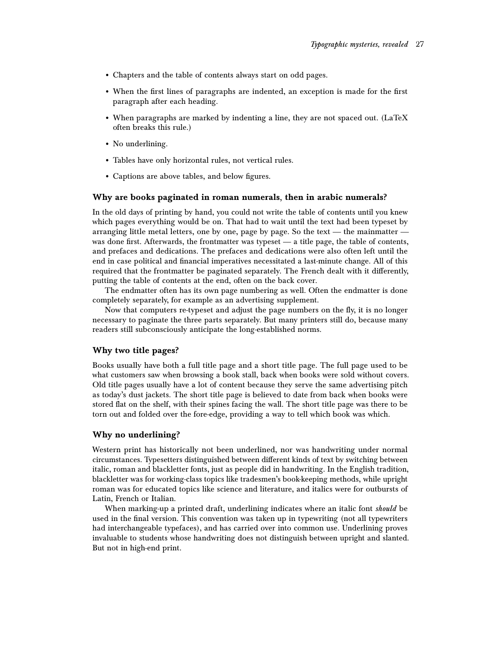- Chapters and the table of contents always start on odd pages.
- When the first lines of paragraphs are indented, an exception is made for the first paragraph after each heading.
- When paragraphs are marked by indenting a line, they are not spaced out. (LaTeX often breaks this rule.)
- No underlining.
- Tables have only horizontal rules, not vertical rules.
- Captions are above tables, and below figures.

#### <span id="page-26-0"></span>Why are books paginated in roman numerals, then in arabic numerals?

In the old days of printing by hand, you could not write the table of contents until you knew which pages everything would be on. That had to wait until the text had been typeset by arranging little metal letters, one by one, page by page. So the text — the mainmatter was done first. Afterwards, the frontmatter was typeset — a title page, the table of contents, and prefaces and dedications. The prefaces and dedications were also often left until the end in case political and financial imperatives necessitated a last-minute change. All of this required that the frontmatter be paginated separately. The French dealt with it differently, putting the table of contents at the end, often on the back cover.

The endmatter often has its own page numbering as well. Often the endmatter is done completely separately, for example as an advertising supplement.

Now that computers re-typeset and adjust the page numbers on the fly, it is no longer necessary to paginate the three parts separately. But many printers still do, because many readers still subconsciously anticipate the long-established norms.

# <span id="page-26-1"></span>Why two title pages?

Books usually have both a full title page and a short title page. The full page used to be what customers saw when browsing a book stall, back when books were sold without covers. Old title pages usually have a lot of content because they serve the same advertising pitch as today's dust jackets. The short title page is believed to date from back when books were stored flat on the shelf, with their spines facing the wall. The short title page was there to be torn out and folded over the fore-edge, providing a way to tell which book was which.

#### <span id="page-26-2"></span>Why no underlining?

Western print has historically not been underlined, nor was handwriting under normal circumstances. Typesetters distinguished between different kinds of text by switching between italic, roman and blackletter fonts, just as people did in handwriting. In the English tradition, blackletter was for working-class topics like tradesmen's book-keeping methods, while upright roman was for educated topics like science and literature, and italics were for outbursts of Latin, French or Italian.

When marking-up a printed draft, underlining indicates where an italic font should be used in the final version. This convention was taken up in typewriting (not all typewriters had interchangeable typefaces), and has carried over into common use. Underlining proves invaluable to students whose handwriting does not distinguish between upright and slanted. But not in high-end print.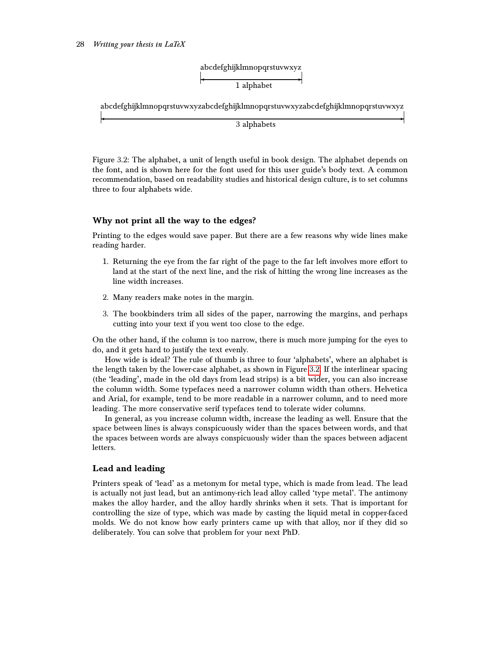

abcdefghijklmnopqrstuvwxyzabcdefghijklmnopqrstuvwxyzabcdefghijklmnopqrstuvwxyz ✛ ✲

3 alphabets

<span id="page-27-2"></span>Figure 3.2: The alphabet, a unit of length useful in book design. The alphabet depends on the font, and is shown here for the font used for this user guide's body text. A common recommendation, based on readability studies and historical design culture, is to set columns three to four alphabets wide.

# <span id="page-27-0"></span>Why not print all the way to the edges?

Printing to the edges would save paper. But there are a few reasons why wide lines make reading harder.

- 1. Returning the eye from the far right of the page to the far left involves more effort to land at the start of the next line, and the risk of hitting the wrong line increases as the line width increases.
- 2. Many readers make notes in the margin.
- 3. The bookbinders trim all sides of the paper, narrowing the margins, and perhaps cutting into your text if you went too close to the edge.

On the other hand, if the column is too narrow, there is much more jumping for the eyes to do, and it gets hard to justify the text evenly.

How wide is ideal? The rule of thumb is three to four 'alphabets', where an alphabet is the length taken by the lower-case alphabet, as shown in Figure [3.2.](#page-27-2) If the interlinear spacing (the 'leading', made in the old days from lead strips) is a bit wider, you can also increase the column width. Some typefaces need a narrower column width than others. Helvetica and Arial, for example, tend to be more readable in a narrower column, and to need more leading. The more conservative serif typefaces tend to tolerate wider columns.

In general, as you increase column width, increase the leading as well. Ensure that the space between lines is always conspicuously wider than the spaces between words, and that the spaces between words are always conspicuously wider than the spaces between adjacent letters.

### <span id="page-27-1"></span>Lead and leading

Printers speak of 'lead' as a metonym for metal type, which is made from lead. The lead is actually not just lead, but an antimony-rich lead alloy called 'type metal'. The antimony makes the alloy harder, and the alloy hardly shrinks when it sets. That is important for controlling the size of type, which was made by casting the liquid metal in copper-faced molds. We do not know how early printers came up with that alloy, nor if they did so deliberately. You can solve that problem for your next PhD.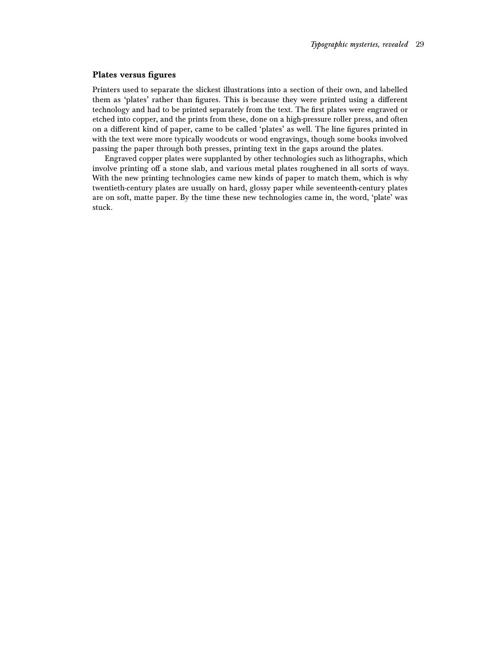#### <span id="page-28-0"></span>Plates versus figures

Printers used to separate the slickest illustrations into a section of their own, and labelled them as 'plates' rather than figures. This is because they were printed using a different technology and had to be printed separately from the text. The first plates were engraved or etched into copper, and the prints from these, done on a high-pressure roller press, and often on a different kind of paper, came to be called 'plates' as well. The line figures printed in with the text were more typically woodcuts or wood engravings, though some books involved passing the paper through both presses, printing text in the gaps around the plates.

Engraved copper plates were supplanted by other technologies such as lithographs, which involve printing off a stone slab, and various metal plates roughened in all sorts of ways. With the new printing technologies came new kinds of paper to match them, which is why twentieth-century plates are usually on hard, glossy paper while seventeenth-century plates are on soft, matte paper. By the time these new technologies came in, the word, 'plate' was stuck.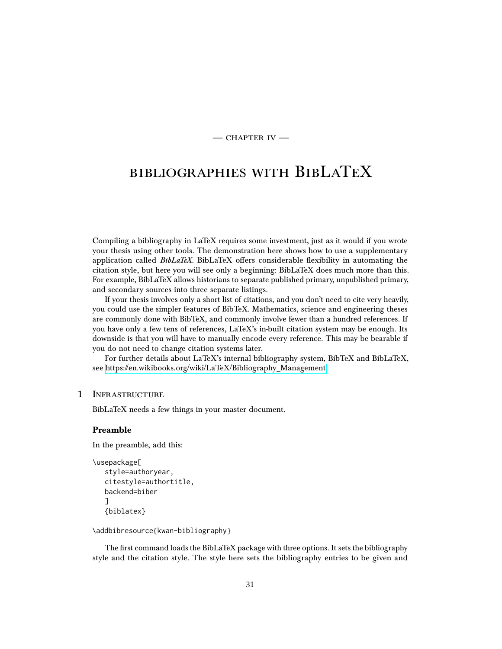$-$  CHAPTER IV  $-$ 

# <span id="page-30-0"></span>bibliographies with BibLaTeX

Compiling a bibliography in LaTeX requires some investment, just as it would if you wrote your thesis using other tools. The demonstration here shows how to use a supplementary application called  $BibLaTeX$ . BibLaTeX offers considerable flexibility in automating the citation style, but here you will see only a beginning: BibLaTeX does much more than this. For example, BibLaTeX allows historians to separate published primary, unpublished primary, and secondary sources into three separate listings.

If your thesis involves only a short list of citations, and you don't need to cite very heavily, you could use the simpler features of BibTeX. Mathematics, science and engineering theses are commonly done with BibTeX, and commonly involve fewer than a hundred references. If you have only a few tens of references, LaTeX's in-built citation system may be enough. Its downside is that you will have to manually encode every reference. This may be bearable if you do not need to change citation systems later.

For further details about LaTeX's internal bibliography system, BibTeX and BibLaTeX, see [https://en.wikibooks.org/wiki/LaTeX/Bibliography\\_Management](https://en.wikibooks.org/wiki/LaTeX/Bibliography_Management)

# <span id="page-30-1"></span>1 Infrastructure

BibLaTeX needs a few things in your master document.

#### <span id="page-30-2"></span>Preamble

In the preamble, add this:

```
\usepackage[
   style=authoryear,
   citestyle=authortitle,
   backend=biber
   ]
   {biblatex}
```
\addbibresource{kwan-bibliography}

The first command loads the BibLaTeX package with three options. It sets the bibliography style and the citation style. The style here sets the bibliography entries to be given and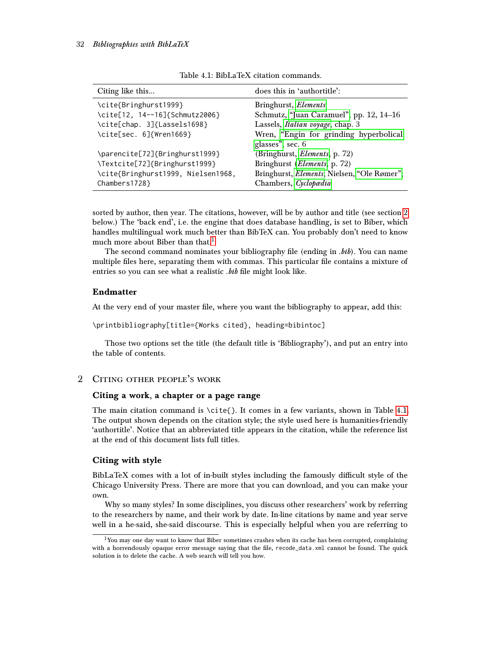#### 32 Bibliographies with BibLaTeX

| Citing like this                   | does this in 'authortitle':                 |
|------------------------------------|---------------------------------------------|
| \cite{Bringhurst1999}              | Bringhurst, Elements                        |
| \cite[12, 14--16]{Schmutz2006}     | Schmutz, "Juan Caramuel", pp. 12, 14–16     |
| \cite[chap. 3]{Lassels1698}        | Lassels, <i>Italian voyage</i> , chap. 3    |
| \cite[sec. 6]{Wren1669}            | Wren, "Engin for grinding hyperbolical      |
|                                    | glasses", sec. 6                            |
| \parencite[72]{Bringhurst1999}     | (Bringhurst, Elements, p. 72)               |
| \Textcite[72]{Bringhurst1999}      | Bringhurst ( <i>Elements</i> , p. 72)       |
| \cite{Bringhurst1999, Nielsen1968, | Bringhurst, Elements; Nielsen, "Ole Rømer"; |
| Chambers1728}                      | Chambers, Cyclopædia                        |

<span id="page-31-5"></span>Table 4.1: BibLaTeX citation commands.

sorted by author, then year. The citations, however, will be by author and title (see section [2](#page-31-3) below.) The 'back end', i.e. the engine that does database handling, is set to Biber, which handles multilingual work much better than BibTeX can. You probably don't need to know much more about Biber than that.<sup>[1](#page-31-4)</sup>

The second command nominates your bibliography file (ending in .bib). You can name multiple files here, separating them with commas. This particular file contains a mixture of entries so you can see what a realistic *bib* file might look like.

# <span id="page-31-0"></span>Endmatter

At the very end of your master file, where you want the bibliography to appear, add this:

\printbibliography[title={Works cited}, heading=bibintoc]

Those two options set the title (the default title is 'Bibliography'), and put an entry into the table of contents.

# <span id="page-31-1"></span>2 Citing other people's work

### <span id="page-31-2"></span>Citing a work, a chapter or a page range

The main citation command is  $\ctt{}$ . It comes in a few variants, shown in Table [4.1.](#page-31-5) The output shown depends on the citation style; the style used here is humanities-friendly 'authortitle'. Notice that an abbreviated title appears in the citation, while the reference list at the end of this document lists full titles.

#### <span id="page-31-3"></span>Citing with style

BibLaTeX comes with a lot of in-built styles including the famously difficult style of the Chicago University Press. There are more that you can download, and you can make your own.

Why so many styles? In some disciplines, you discuss other researchers' work by referring to the researchers by name, and their work by date. In-line citations by name and year serve well in a he-said, she-said discourse. This is especially helpful when you are referring to

<span id="page-31-4"></span><sup>&</sup>lt;sup>1</sup>You may one day want to know that Biber sometimes crashes when its cache has been corrupted, complaining with a horrendously opaque error message saying that the file, recode\_data.xml cannot be found. The quick solution is to delete the cache. A web search will tell you how.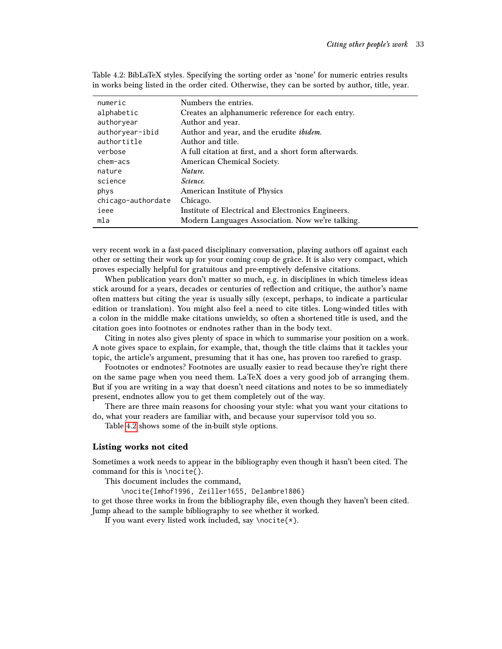| numeric            | Numbers the entries.                                   |
|--------------------|--------------------------------------------------------|
| alphabetic         | Creates an alphanumeric reference for each entry.      |
| authoryear         | Author and year.                                       |
| authoryear-ibid    | Author and year, and the erudite ibidem.               |
| authortitle        | Author and title.                                      |
| verbose            | A full citation at first, and a short form afterwards. |
| chem-acs           | American Chemical Society.                             |
| nature             | Nature.                                                |
| science            | <i>Science.</i>                                        |
| phys               | American Institute of Physics                          |
| chicago-authordate | Chicago.                                               |
| ieee               | Institute of Electrical and Electronics Engineers.     |
| mla                | Modern Languages Association. Now we're talking.       |

<span id="page-32-1"></span>Table 4.2: BibLaTeX styles. Specifying the sorting order as 'none' for numeric entries results in works being listed in the order cited. Otherwise, they can be sorted by author, title, year.

very recent work in a fast-paced disciplinary conversation, playing authors off against each other or setting their work up for your coming coup de grâce. It is also very compact, which proves especially helpful for gratuitous and pre-emptively defensive citations.

When publication years don't matter so much, e.g. in disciplines in which timeless ideas stick around for a years, decades or centuries of reflection and critique, the author's name often matters but citing the year is usually silly (except, perhaps, to indicate a particular edition or translation). You might also feel a need to cite titles. Long-winded titles with a colon in the middle make citations unwieldy, so often a shortened title is used, and the citation goes into footnotes or endnotes rather than in the body text.

Citing in notes also gives plenty of space in which to summarise your position on a work. A note gives space to explain, for example, that, though the title claims that it tackles your topic, the article's argument, presuming that it has one, has proven too rarefied to grasp.

Footnotes or endnotes? Footnotes are usually easier to read because they're right there on the same page when you need them. LaTeX does a very good job of arranging them. But if you are writing in a way that doesn't need citations and notes to be so immediately present, endnotes allow you to get them completely out of the way.

There are three main reasons for choosing your style: what you want your citations to do, what your readers are familiar with, and because your supervisor told you so.

Table [4.2](#page-32-1) shows some of the in-built style options.

#### <span id="page-32-0"></span>Listing works not cited

Sometimes a work needs to appear in the bibliography even though it hasn't been cited. The command for this is \nocite{}.

This document includes the command,

\nocite{Imhof1996, Zeiller1655, Delambre1806}

to get those three works in from the bibliography file, even though they haven't been cited. Jump ahead to the sample bibliography to see whether it worked.

If you want every listed work included, say \nocite{\*}.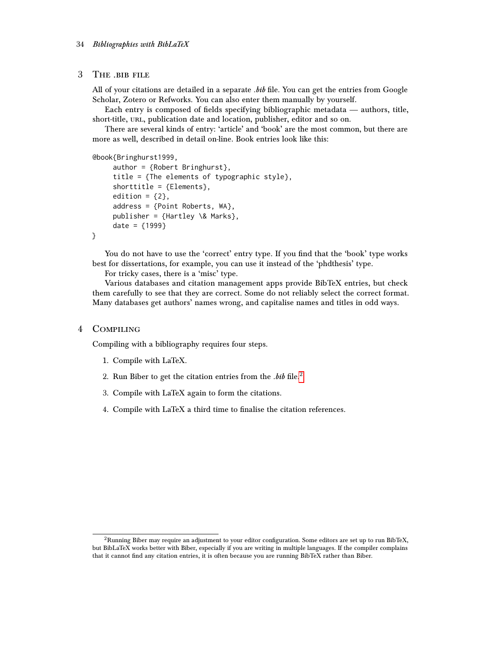#### <span id="page-33-0"></span>3 The .bib file

All of your citations are detailed in a separate *.bib* file. You can get the entries from Google Scholar, Zotero or Refworks. You can also enter them manually by yourself.

Each entry is composed of fields specifying bibliographic metadata — authors, title, short-title, URL, publication date and location, publisher, editor and so on.

There are several kinds of entry: 'article' and 'book' are the most common, but there are more as well, described in detail on-line. Book entries look like this:

@book{Bringhurst1999,

```
author = {Robert Bringhurst},
title = {The elements of typographic style},
shorttitle = {Elements},
edition = {2},
address = {Point Roberts, WA},
publisher = {Hartley \& Marks},
date = {1999}
```
}

You do not have to use the 'correct' entry type. If you find that the 'book' type works best for dissertations, for example, you can use it instead of the 'phdthesis' type.

For tricky cases, there is a 'misc' type.

Various databases and citation management apps provide BibTeX entries, but check them carefully to see that they are correct. Some do not reliably select the correct format. Many databases get authors' names wrong, and capitalise names and titles in odd ways.

#### <span id="page-33-1"></span>4 Compiling

Compiling with a bibliography requires four steps.

- 1. Compile with LaTeX.
- [2](#page-33-2). Run Biber to get the citation entries from the  $.$ bib file.<sup>2</sup>
- 3. Compile with LaTeX again to form the citations.
- 4. Compile with LaTeX a third time to finalise the citation references.

<span id="page-33-2"></span> $2$ Running Biber may require an adjustment to your editor configuration. Some editors are set up to run BibTeX, but BibLaTeX works better with Biber, especially if you are writing in multiple languages. If the compiler complains that it cannot find any citation entries, it is often because you are running BibTeX rather than Biber.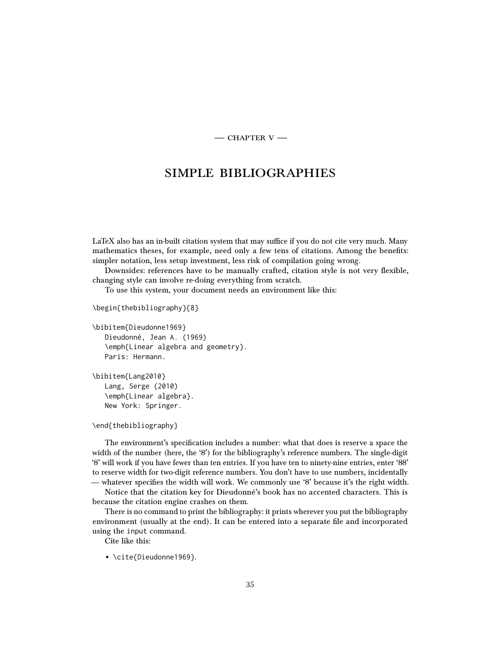$-$  CHAPTER  $V-$ 

# <span id="page-34-0"></span>simple bibliographies

LaTeX also has an in-built citation system that may suffice if you do not cite very much. Many mathematics theses, for example, need only a few tens of citations. Among the benefits: simpler notation, less setup investment, less risk of compilation going wrong.

Downsides: references have to be manually crafted, citation style is not very flexible, changing style can involve re-doing everything from scratch.

To use this system, your document needs an environment like this:

```
\begin{thebibliography}{8}
```
\bibitem{Dieudonne1969} Dieudonné, Jean A. (1969) \emph{Linear algebra and geometry}. Paris: Hermann.

\bibitem{Lang2010} Lang, Serge (2010) \emph{Linear algebra}. New York: Springer.

```
\end{thebibliography}
```
The environment's specification includes a number: what that does is reserve a space the width of the number (here, the '8') for the bibliography's reference numbers. The single-digit '8' will work if you have fewer than ten entries. If you have ten to ninety-nine entries, enter '88' to reserve width for two-digit reference numbers. You don't have to use numbers, incidentally — whatever specifies the width will work. We commonly use '8' because it's the right width.

Notice that the citation key for Dieudonné's book has no accented characters. This is because the citation engine crashes on them.

There is no command to print the bibliography: it prints wherever you put the bibliography environment (usually at the end). It can be entered into a separate file and incorporated using the input command.

Cite like this:

• \cite{Dieudonne1969}.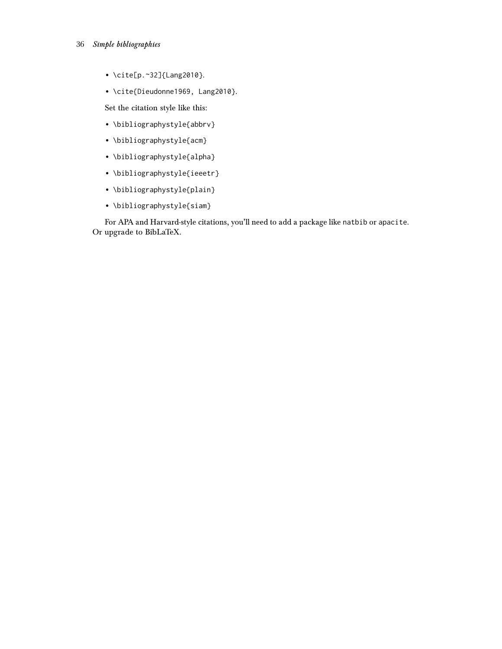- 36 Simple bibliographies
	- \cite[p.~32]{Lang2010}.
	- \cite{Dieudonne1969, Lang2010}.

Set the citation style like this:

- \bibliographystyle{abbrv}
- \bibliographystyle{acm}
- \bibliographystyle{alpha}
- \bibliographystyle{ieeetr}
- \bibliographystyle{plain}
- \bibliographystyle{siam}

For APA and Harvard-style citations, you'll need to add a package like natbib or apacite. Or upgrade to BibLaTeX.